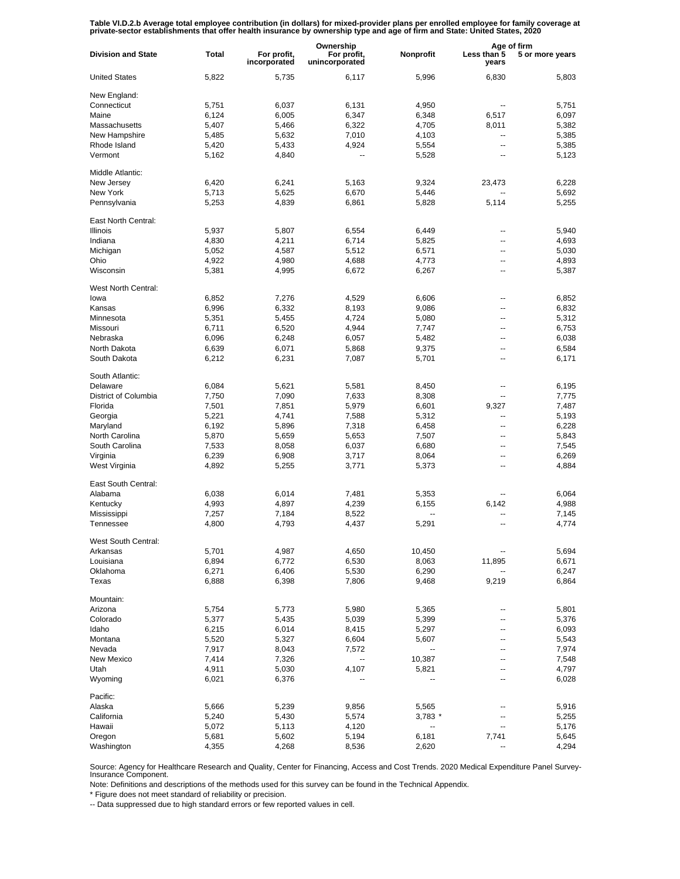Table VI.D.2.b Average total employee contribution (in dollars) for mixed-provider plans per enrolled employee for family coverage at<br>private-sector establishments that offer health insurance by ownership type and age of f

|                           |                |                             | Ownership                     |                |                      | Age of firm     |  |
|---------------------------|----------------|-----------------------------|-------------------------------|----------------|----------------------|-----------------|--|
| <b>Division and State</b> | Total          | For profit,<br>incorporated | For profit,<br>unincorporated | Nonprofit      | Less than 5<br>years | 5 or more years |  |
| <b>United States</b>      | 5,822          | 5,735                       | 6,117                         | 5,996          | 6,830                | 5,803           |  |
| New England:              |                |                             |                               |                |                      |                 |  |
| Connecticut               | 5,751          | 6,037                       | 6,131                         | 4,950          | ٠.                   | 5,751           |  |
| Maine                     | 6,124          | 6,005                       | 6,347                         | 6,348          | 6,517                | 6,097           |  |
| Massachusetts             | 5,407          | 5,466                       | 6,322                         | 4,705          | 8,011                | 5,382           |  |
| New Hampshire             | 5,485          | 5,632                       | 7,010                         | 4,103          | --                   | 5,385           |  |
| Rhode Island              | 5,420          | 5,433                       | 4,924                         | 5,554          | ٠.                   | 5,385           |  |
| Vermont                   | 5,162          | 4,840                       | ٠.                            | 5,528          | ٠.                   | 5,123           |  |
| Middle Atlantic:          |                |                             |                               |                |                      |                 |  |
| New Jersey                | 6,420          | 6,241                       | 5.163                         | 9,324          | 23,473               | 6,228           |  |
| New York                  | 5,713          | 5,625                       | 6,670                         | 5,446          |                      | 5,692           |  |
| Pennsylvania              | 5,253          | 4,839                       | 6,861                         | 5,828          | 5,114                | 5,255           |  |
| East North Central:       |                |                             |                               |                |                      |                 |  |
| <b>Illinois</b>           | 5,937          | 5,807                       | 6,554                         | 6,449          | --                   | 5,940           |  |
| Indiana                   | 4,830          | 4,211                       | 6,714                         | 5,825          | --                   | 4,693           |  |
| Michigan                  | 5,052          | 4,587                       | 5,512                         | 6,571          | --                   | 5,030           |  |
| Ohio                      | 4,922          | 4,980                       | 4,688                         | 4,773          | --                   | 4,893           |  |
| Wisconsin                 | 5,381          | 4,995                       | 6,672                         | 6,267          | --                   | 5,387           |  |
| West North Central:       |                |                             |                               |                |                      |                 |  |
| lowa                      | 6,852          | 7,276                       | 4,529                         | 6,606          | ٠.                   | 6,852           |  |
| Kansas                    | 6,996          | 6,332                       | 8,193                         | 9,086          | ٠.                   | 6,832           |  |
| Minnesota                 | 5,351          | 5,455                       | 4,724                         | 5,080          | ٠.                   | 5,312           |  |
| Missouri                  | 6,711          | 6,520                       | 4,944                         | 7,747          | ٠.                   | 6,753           |  |
| Nebraska                  | 6,096          | 6,248                       | 6,057                         | 5,482          | ٠.                   | 6,038           |  |
| North Dakota              | 6,639          | 6,071                       | 5,868                         | 9,375          | ٠.                   | 6,584           |  |
| South Dakota              | 6,212          | 6,231                       | 7,087                         | 5,701          | ٠.                   | 6,171           |  |
| South Atlantic:           |                |                             |                               |                |                      |                 |  |
| Delaware                  | 6,084          | 5,621                       | 5,581                         | 8,450          |                      | 6,195           |  |
| District of Columbia      | 7,750          | 7,090                       | 7,633                         | 8,308          | --                   | 7,775           |  |
| Florida                   | 7,501          | 7,851                       | 5,979                         | 6,601          | 9,327                | 7,487           |  |
| Georgia                   | 5,221          | 4,741                       | 7,588                         | 5,312          | --                   | 5,193           |  |
| Maryland                  | 6,192          | 5,896                       | 7,318                         | 6,458          | --                   | 6,228           |  |
| North Carolina            | 5,870          | 5,659                       | 5,653                         | 7,507          | --                   | 5,843           |  |
| South Carolina            | 7,533          | 8,058                       | 6,037                         | 6,680          | --                   | 7,545           |  |
| Virginia<br>West Virginia | 6,239<br>4,892 | 6,908<br>5,255              | 3,717<br>3,771                | 8,064<br>5,373 | --<br>--             | 6,269<br>4,884  |  |
|                           |                |                             |                               |                |                      |                 |  |
| East South Central:       |                |                             |                               |                |                      |                 |  |
| Alabama                   | 6,038          | 6,014                       | 7,481                         | 5,353          |                      | 6,064           |  |
| Kentucky                  | 4,993          | 4,897                       | 4,239                         | 6,155          | 6,142                | 4,988           |  |
| Mississippi               | 7,257          | 7,184                       | 8,522                         | $\overline{a}$ | --                   | 7,145           |  |
| Tennessee                 | 4,800          | 4,793                       | 4,437                         | 5,291          | --                   | 4,774           |  |
| West South Central:       |                |                             |                               |                |                      |                 |  |
| Arkansas                  | 5,701          | 4,987                       | 4,650                         | 10,450         |                      | 5,694           |  |
| Louisiana                 | 6,894          | 6,772                       | 6,530                         | 8,063          | 11,895               | 6,671           |  |
| Oklahoma                  | 6,271          | 6,406                       | 5,530                         | 6,290          |                      | 6,247           |  |
| Texas                     | 6,888          | 6,398                       | 7,806                         | 9,468          | 9,219                | 6,864           |  |
| Mountain:                 |                |                             |                               |                |                      |                 |  |
| Arizona                   | 5,754          | 5,773                       | 5,980                         | 5,365          | --                   | 5,801           |  |
| Colorado                  | 5,377          | 5,435                       | 5,039                         | 5,399          | ٠.                   | 5,376           |  |
| Idaho                     | 6,215          | 6,014                       | 8,415                         | 5,297          | ٠.                   | 6,093           |  |
| Montana                   | 5,520          | 5,327                       | 6,604                         | 5,607          | --                   | 5,543           |  |
| Nevada                    | 7,917          | 8,043                       | 7,572                         | --             | ٠.                   | 7,974           |  |
| New Mexico                | 7,414          | 7,326                       | --                            | 10,387         | --                   | 7,548           |  |
| Utah                      | 4,911          | 5,030                       | 4,107                         | 5,821          | --                   | 4,797           |  |
| Wyoming                   | 6,021          | 6,376                       |                               |                | ٠.                   | 6,028           |  |
| Pacific:                  |                |                             |                               |                |                      |                 |  |
| Alaska                    | 5,666          | 5,239                       | 9,856                         | 5,565          |                      | 5,916           |  |
| California                | 5,240          | 5,430                       | 5,574                         | 3,783 *        | --                   | 5,255           |  |
| Hawaii                    | 5,072          | 5,113                       | 4,120                         | --             | ۰.                   | 5,176           |  |
| Oregon                    | 5,681          | 5,602                       | 5,194                         | 6,181          | 7,741                | 5,645           |  |
| Washington                | 4,355          | 4,268                       | 8,536                         | 2,620          |                      | 4,294           |  |

Source: Agency for Healthcare Research and Quality, Center for Financing, Access and Cost Trends. 2020 Medical Expenditure Panel Survey-Insurance Component.

Note: Definitions and descriptions of the methods used for this survey can be found in the Technical Appendix.

\* Figure does not meet standard of reliability or precision.

-- Data suppressed due to high standard errors or few reported values in cell.